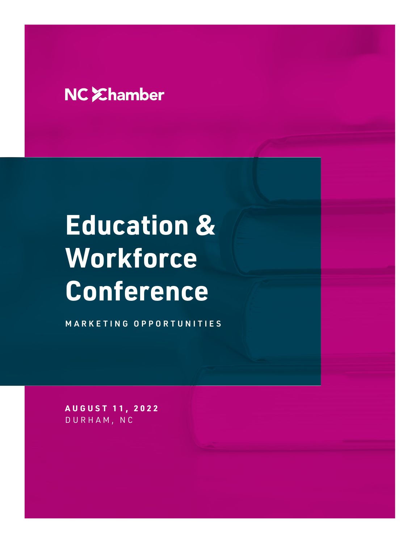# NC *Ehamber*

# **Education & Workforce Conference**

MARKETING OPPORTUNITIES

**AUGUST 11, 2022** DURHAM, NC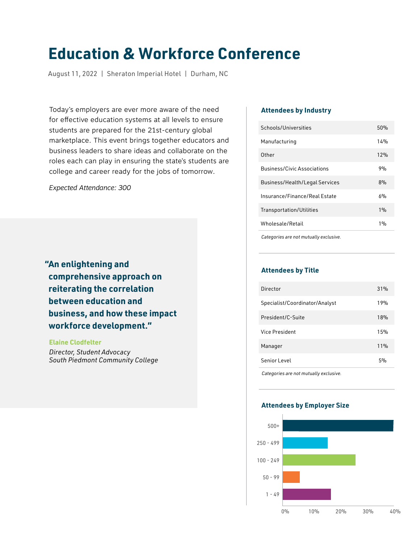## **Education & Workforce Conference**

August 11, 2022 | Sheraton Imperial Hotel | Durham, NC

Today's employers are ever more aware of the need for effective education systems at all levels to ensure students are prepared for the 21st-century global marketplace. This event brings together educators and business leaders to share ideas and collaborate on the roles each can play in ensuring the state's students are college and career ready for the jobs of tomorrow.

*Expected Attendance: 300*

**"An enlightening and comprehensive approach on reiterating the correlation between education and business, and how these impact workforce development."**

 **Elaine Clodfelter**  *Director, Student Advocacy South Piedmont Community College*

#### **Attendees by Industry**

| Schools/Universities                  | 50% |
|---------------------------------------|-----|
| Manufacturing                         | 14% |
| Other                                 | 12% |
| <b>Business/Civic Associations</b>    | 9%  |
| <b>Business/Health/Legal Services</b> | 8%  |
| Insurance/Finance/Real Estate         | 6%  |
| Transportation/Utilities              | 1%  |
| Wholesale/Retail                      | 1%  |
|                                       |     |

*Categories are not mutually exclusive.*

#### **Attendees by Title**

| 19%<br>Specialist/Coordinator/Analyst<br>President/C-Suite<br>18%<br>Vice President<br>15%<br>11%<br>Manager<br>Senior Level<br>5% | Director | 31% |
|------------------------------------------------------------------------------------------------------------------------------------|----------|-----|
|                                                                                                                                    |          |     |
|                                                                                                                                    |          |     |
|                                                                                                                                    |          |     |
|                                                                                                                                    |          |     |
|                                                                                                                                    |          |     |

*Categories are not mutually exclusive.*

#### **Attendees by Employer Size**

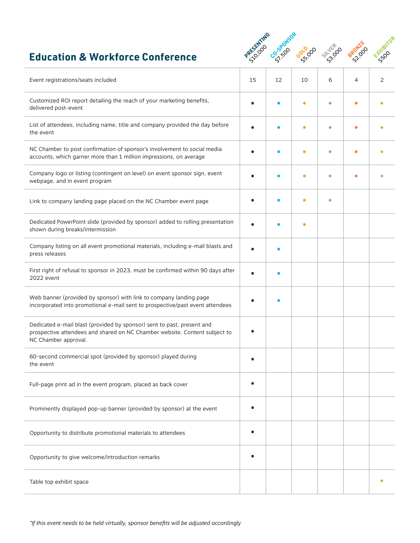### **Education & Workforce Conference**



| Event registrations/seats included                                                                                                                                           | 15 | 12 | 10        | 6         | 4 | 2 |
|------------------------------------------------------------------------------------------------------------------------------------------------------------------------------|----|----|-----------|-----------|---|---|
| Customized ROI report detailing the reach of your marketing benefits,<br>delivered post-event                                                                                |    |    | $\bullet$ | $\bullet$ | с |   |
| List of attendees, including name, title and company provided the day before<br>the event                                                                                    |    |    | О         | ۵         |   |   |
| NC Chamber to post confirmation of sponsor's involvement to social media<br>accounts, which garner more than 1 million impressions, on average                               |    |    | ٠         | ö         |   |   |
| Company logo or listing (contingent on level) on event sponsor sign, event<br>webpage, and in event program                                                                  |    |    | $\bullet$ | ö         |   |   |
| Link to company landing page placed on the NC Chamber event page                                                                                                             |    |    |           | $\bullet$ |   |   |
| Dedicated PowerPoint slide (provided by sponsor) added to rolling presentation<br>shown during breaks/intermission                                                           |    |    | ٠         |           |   |   |
| Company listing on all event promotional materials, including e-mail blasts and<br>press releases                                                                            |    |    |           |           |   |   |
| First right of refusal to sponsor in 2023, must be confirmed within 90 days after<br>2022 event                                                                              |    |    |           |           |   |   |
| Web banner (provided by sponsor) with link to company landing page<br>incorporated into promotional e-mail sent to prospective/past event attendees                          |    |    |           |           |   |   |
| Dedicated e-mail blast (provided by sponsor) sent to past, present and<br>prospective attendees and shared on NC Chamber website. Content subject to<br>NC Chamber approval. |    |    |           |           |   |   |
| 60-second commercial spot (provided by sponsor) played during<br>the event                                                                                                   |    |    |           |           |   |   |
| Full-page print ad in the event program, placed as back cover                                                                                                                |    |    |           |           |   |   |
| Prominently displayed pop-up banner (provided by sponsor) at the event                                                                                                       |    |    |           |           |   |   |
| Opportunity to distribute promotional materials to attendees                                                                                                                 |    |    |           |           |   |   |
| Opportunity to give welcome/introduction remarks                                                                                                                             |    |    |           |           |   |   |
| Table top exhibit space                                                                                                                                                      |    |    |           |           |   | ٠ |